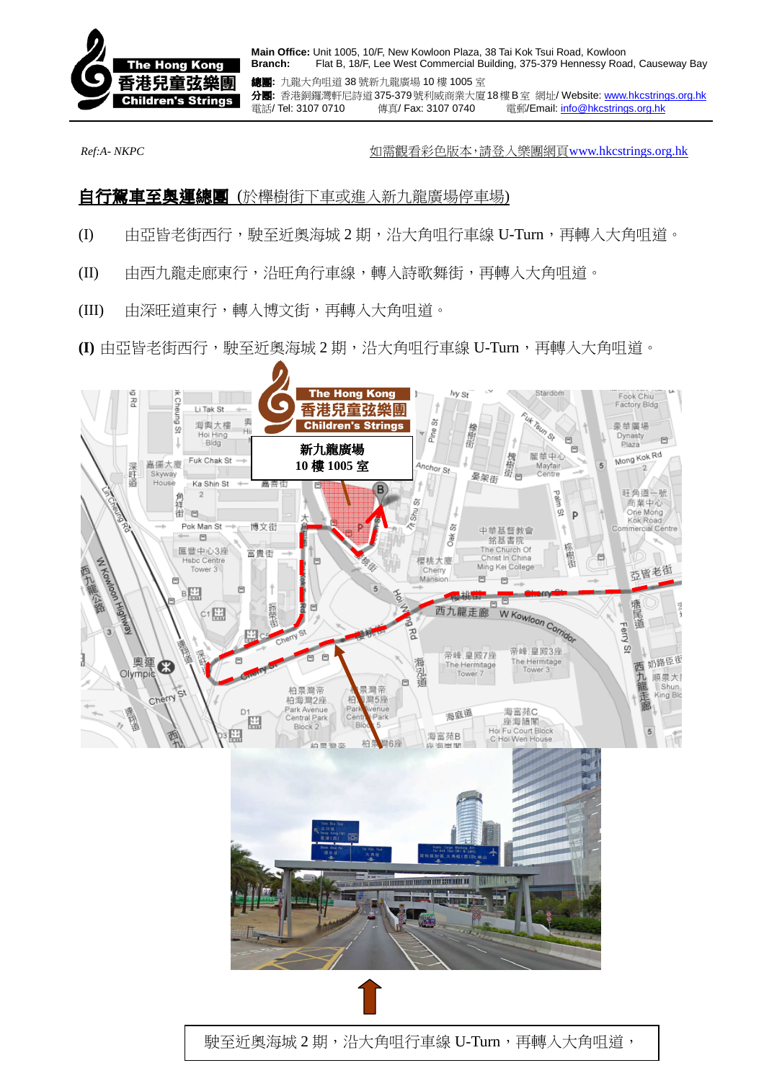

**Main Office:** Unit 1005, 10/F, New Kowloon Plaza, 38 Tai Kok Tsui Road, Kowloon **Branch:** Flat B, 18/F, Lee West Commercial Building, 375-379 Hennessy Road, Causeway Bay

總團**:** 九龍大角咀道 38 號新九龍廣場 10 樓 1005 室 分團**:** 香港銅鑼灣軒尼詩道375-379號利威商業大廈18樓B室 網址/ Website: www.hkcstrings.org.hk 電話/ Tel: 3107 0710 傳真/ Fax: 3107 0740 電郵/Email: info@hkcstrings.org.hk

*Ref:A- NKPC* 如需觀看彩色版本,請登入樂團網頁www.hkcstrings.org.hk

## **自行駕車至奧運總團** (於櫸樹街下車或進入新九龍廣場停車場)

- (I) 由亞皆老街西行,駛至近奧海城 2 期,沿大角咀行車線 U-Turn,再轉入大角咀道。
- (II) 由西九龍走廊東行,沿旺角行車線,轉入詩歌舞街,再轉入大角咀道。
- (III) 由深旺道東行,轉入博文街,再轉入大角咀道。

**(I)** 由亞皆老街西行,駛至近奧海城 2 期,沿大角咀行車線 U-Turn,再轉入大角咀道。

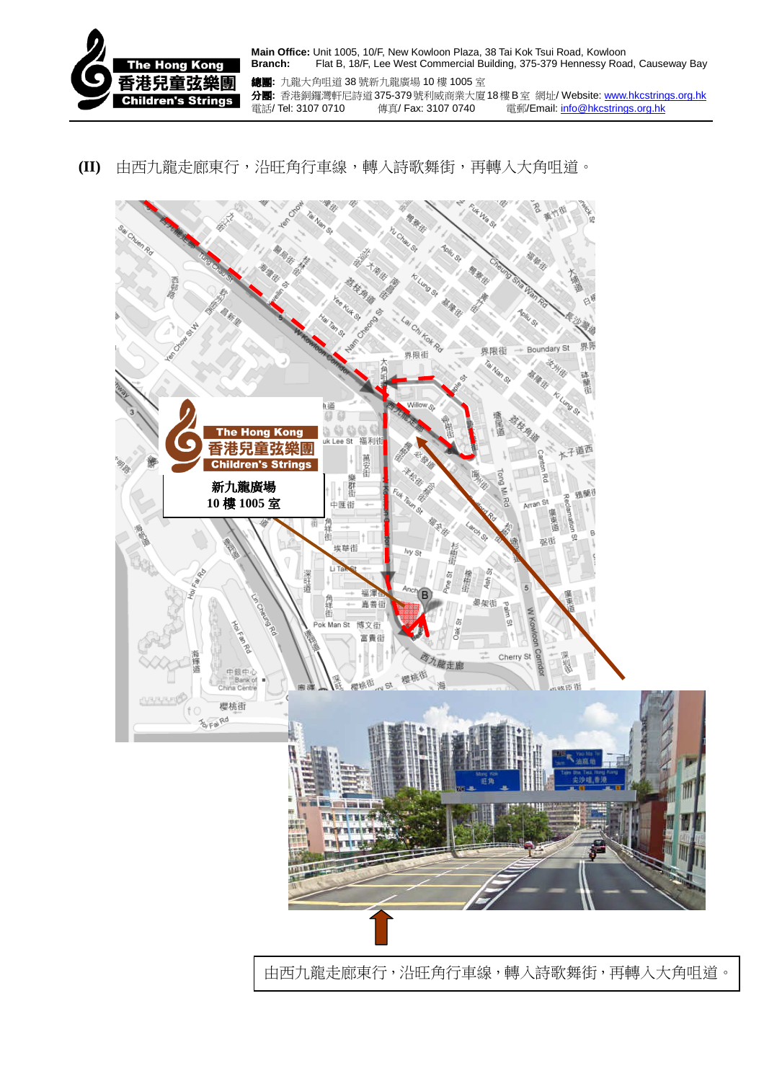

**Main Office:** Unit 1005, 10/F, New Kowloon Plaza, 38 Tai Kok Tsui Road, Kowloon **Branch:** Flat B, 18/F, Lee West Commercial Building, 375-379 Hennessy Road, Causeway Bay

總團**:** 九龍大角咀道 38 號新九龍廣場 10 樓 1005 室 分團**:** 香港銅鑼灣軒尼詩道375-379號利威商業大廈18樓B室 網址/ Website: www.hkcstrings.org.hk 電話/ Tel: 3107 0710 傳真/ Fax: 3107 0740 電郵/Email: info@hkcstrings.org.hk

## **(II)** 由西九龍走廊東行,沿旺角行車線,轉入詩歌舞街,再轉入大角咀道。